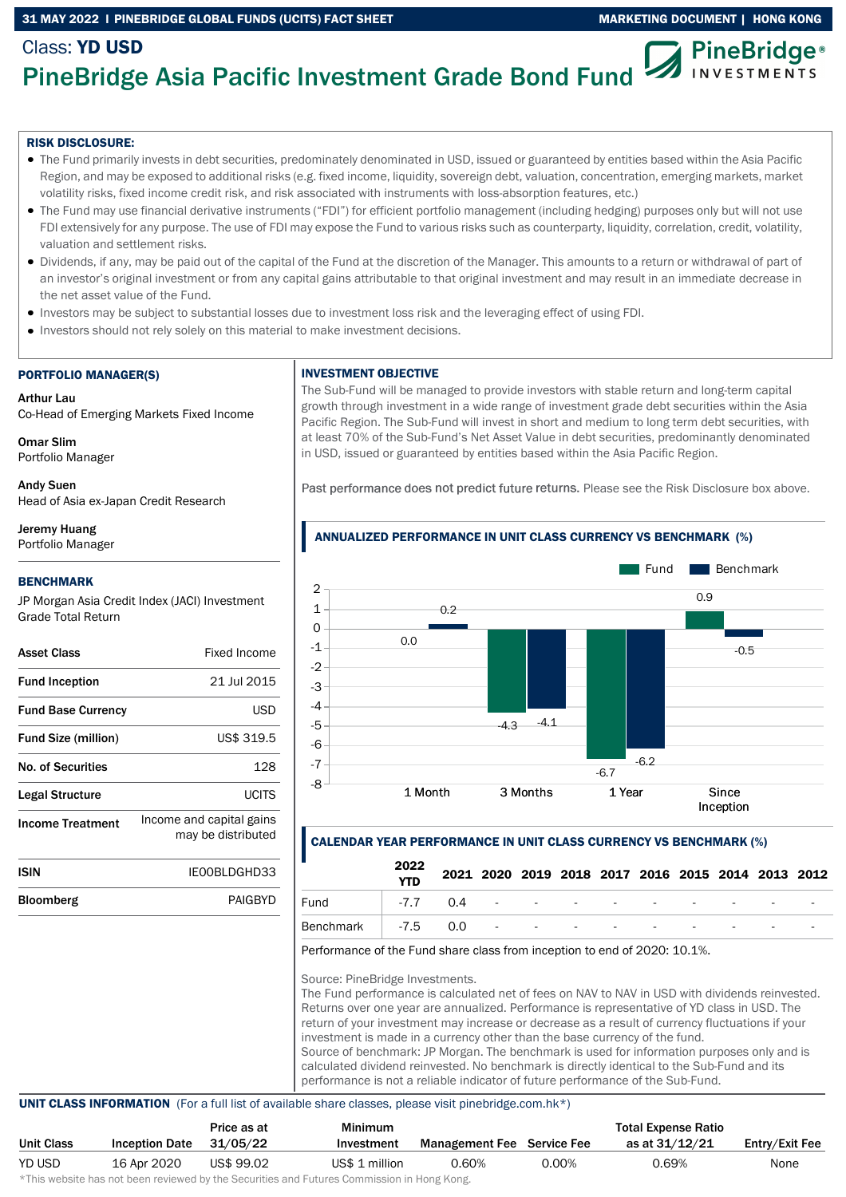## 31 MAY 2022 I PINEBRIDGE GLOBAL FUNDS (UCITS) FACT SHEET MARKETING DOCUMENT | HONG KONG

#### Class: YD USD **PineBridge**® PineBridge Asia Pacific Investment Grade Bond Fund **INVESTMENTS**

# RISK DISCLOSURE:

- The Fund primarily invests in debt securities, predominately denominated in USD, issued or guaranteed by entities based within the Asia Pacific Region, and may be exposed to additional risks (e.g. fixed income, liquidity, sovereign debt, valuation, concentration, emerging markets, market volatility risks, fixed income credit risk, and risk associated with instruments with loss-absorption features, etc.)
- The Fund may use financial derivative instruments ("FDI") for efficient portfolio management (including hedging) purposes only but will not use FDI extensively for any purpose. The use of FDI may expose the Fund to various risks such as counterparty, liquidity, correlation, credit, volatility, valuation and settlement risks.
- Dividends, if any, may be paid out of the capital of the Fund at the discretion of the Manager. This amounts to a return or withdrawal of part of an investor's original investment or from any capital gains attributable to that original investment and may result in an immediate decrease in the net asset value of the Fund.
- Investors may be subject to substantial losses due to investment loss risk and the leveraging effect of using FDI.
- Investors should not rely solely on this material to make investment decisions.

# PORTFOLIO MANAGER(S)

Arthur Lau Co-Head of Emerging Markets Fixed Income

Omar Slim Portfolio Manager

Andy Suen Head of Asia ex-Japan Credit Research

Jeremy Huang Portfolio Manager

#### BENCHMARK

JP Morgan Asia Credit Index (JACI) Investment Grade Total Return

| <b>Asset Class</b>         | Fixed Income                                   |
|----------------------------|------------------------------------------------|
| <b>Fund Inception</b>      | 21 Jul 2015                                    |
| <b>Fund Base Currency</b>  | USD                                            |
| <b>Fund Size (million)</b> | US\$ 319.5                                     |
| No. of Securities          | 128                                            |
| Legal Structure            | LICITS                                         |
| <b>Income Treatment</b>    | Income and capital gains<br>may be distributed |
| ISIN                       | IFOOBI DGHD33                                  |
| Bloomberg                  | PAIGRYD                                        |

#### INVESTMENT OBJECTIVE

The Sub-Fund will be managed to provide investors with stable return and long-term capital growth through investment in a wide range of investment grade debt securities within the Asia Pacific Region. The Sub-Fund will invest in short and medium to long term debt securities, with at least 70% of the Sub-Fund's Net Asset Value in debt securities, predominantly denominated in USD, issued or guaranteed by entities based within the Asia Pacific Region.

Past performance does not predict future returns. Please see the Risk Disclosure box above.



### CALENDAR YEAR PERFORMANCE IN UNIT CLASS CURRENCY VS BENCHMARK (%)

| <b>YTD</b> |      |  |  |  |                                                                                                                               |
|------------|------|--|--|--|-------------------------------------------------------------------------------------------------------------------------------|
|            |      |  |  |  |                                                                                                                               |
|            |      |  |  |  |                                                                                                                               |
|            | 2022 |  |  |  | 2021 2020 2019 2018 2017 2016 2015 2014 2013 2012<br>-7.7 0.4 - - - - - - - - - -<br>Benchmark -7.5 0.0 - - - - - - - - - - - |

Performance of the Fund share class from inception to end of 2020: 10.1%.

Source: PineBridge Investments.

The Fund performance is calculated net of fees on NAV to NAV in USD with dividends reinvested. Returns over one year are annualized. Performance is representative of YD class in USD. The return of your investment may increase or decrease as a result of currency fluctuations if your investment is made in a currency other than the base currency of the fund. Source of benchmark: JP Morgan. The benchmark is used for information purposes only and is calculated dividend reinvested. No benchmark is directly identical to the Sub-Fund and its performance is not a reliable indicator of future performance of the Sub-Fund.

#### UNIT CLASS INFORMATION (For a full list of available share classes, please visit pinebridge.com.hk\*)

|                   |                       | Price as at | Minimum        |                                   |          | <b>Total Expense Ratio</b> |                |
|-------------------|-----------------------|-------------|----------------|-----------------------------------|----------|----------------------------|----------------|
| <b>Unit Class</b> | <b>Inception Date</b> | 31/05/22    | Investment     | <b>Management Fee</b> Service Fee |          | as at 31/12/21             | Entry/Exit Fee |
| YD USD            | 16 Apr 2020           | US\$ 99.02  | US\$ 1 million | 0.60%                             | $0.00\%$ | 0.69%                      | None           |

\*This website has not been reviewed by the Securities and Futures Commission in Hong Kong.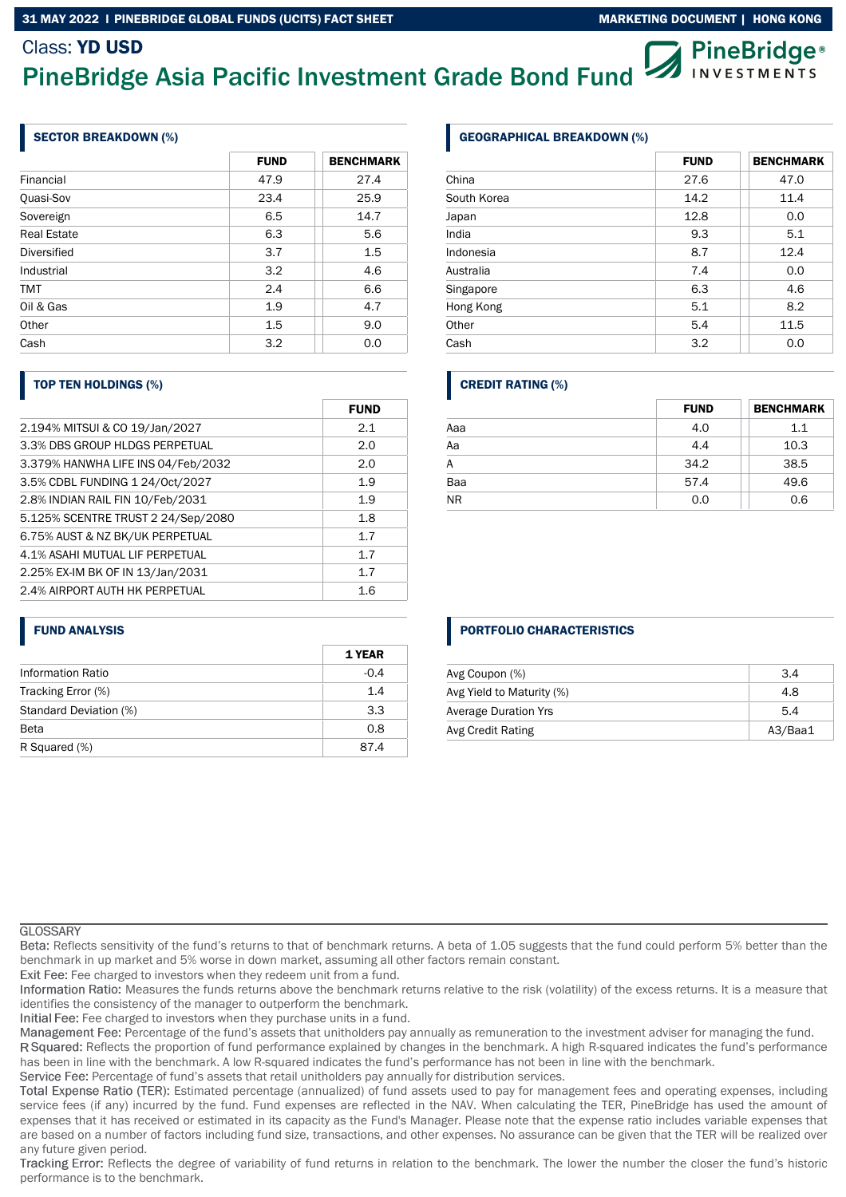#### 31 MAY 2022 I PINEBRIDGE GLOBAL FUNDS (UCITS) FACT SHEET MARKETING MARKETING DOCUMENT | HONG KONG

# Class: YD USD

# PineBridge Asia Pacific Investment Grade Bond Fund

# SECTOR BREAKDOWN (%)

|                    | <b>FUND</b> | <b>BENCHMARK</b> |
|--------------------|-------------|------------------|
| Financial          | 47.9        | 27.4             |
| Quasi-Sov          | 23.4        | 25.9             |
| Sovereign          | 6.5         | 14.7             |
| <b>Real Estate</b> | 6.3         | 5.6              |
| Diversified        | 3.7         | 1.5              |
| Industrial         | 3.2         | 4.6              |
| <b>TMT</b>         | 2.4         | 6.6              |
| Oil & Gas          | 1.9         | 4.7              |
| Other              | 1.5         | 9.0              |
| Cash               | 3.2         | 0.0              |

# TOP TEN HOLDINGS (%)

|                                    | <b>FUND</b> |
|------------------------------------|-------------|
| 2.194% MITSUI & CO 19/Jan/2027     | 2.1         |
| 3.3% DBS GROUP HLDGS PERPETUAL     | 2.0         |
| 3.379% HANWHA LIFE INS 04/Feb/2032 | 2.0         |
| 3.5% CDBL FUNDING 1 24/0ct/2027    | 1.9         |
| 2.8% INDIAN RAIL FIN 10/Feb/2031   | 1.9         |
| 5.125% SCENTRE TRUST 2 24/Sep/2080 | 1.8         |
| 6.75% AUST & NZ BK/UK PERPETUAL    | 1.7         |
| 4.1% ASAHI MUTUAL LIF PERPETUAL    | 1.7         |
| 2.25% EX-IM BK OF IN 13/Jan/2031   | 1.7         |
| 2.4% AIRPORT AUTH HK PERPETUAL     | 1.6         |

### FUND ANALYSIS

|                          | 1 YEAR |
|--------------------------|--------|
| <b>Information Ratio</b> | $-0.4$ |
| Tracking Error (%)       | 1.4    |
| Standard Deviation (%)   | 3.3    |
| <b>Beta</b>              | 0.8    |
| R Squared (%)            | 874    |

# GEOGRAPHICAL BREAKDOWN (%)

|             | <b>FUND</b> | <b>BENCHMARK</b> |
|-------------|-------------|------------------|
| China       | 27.6        | 47.0             |
| South Korea | 14.2        | 11.4             |
| Japan       | 12.8        | 0.0              |
| India       | 9.3         | 5.1              |
| Indonesia   | 8.7         | 12.4             |
| Australia   | 7.4         | 0.0              |
| Singapore   | 6.3         | 4.6              |
| Hong Kong   | 5.1         | 8.2              |
| Other       | 5.4         | 11.5             |
| Cash        | 3.2         | 0.0              |

# CREDIT RATING (%)

|                 | <b>FUND</b> | <b>BENCHMARK</b> |
|-----------------|-------------|------------------|
| Aaa             | 4.0         | 1.1              |
| $\overline{Aa}$ | 4.4         | 10.3             |
| A               | 34.2        | 38.5             |
| Baa             | 57.4        | 49.6             |
| <b>NR</b>       | 0.0         | 0.6              |

# PORTFOLIO CHARACTERISTICS

| Avg Coupon (%)              | 3.4     |
|-----------------------------|---------|
| Avg Yield to Maturity (%)   | 4.8     |
| <b>Average Duration Yrs</b> | 5.4     |
| Avg Credit Rating           | A3/Baa1 |

#### **GLOSSARY**

Reflects sensitivity of the fund's returns to that of benchmark returns. A beta of 1.05 suggests that the fund could perform 5% better than the benchmark in up market and 5% worse in down market, assuming all other factors remain constant.

Exit Fee: Fee charged to investors when they redeem unit from a fund.

Information Ratio: Measures the funds returns above the benchmark returns relative to the risk (volatility) of the excess returns. It is a measure that identifies the consistency of the manager to outperform the benchmark.

Initial Fee: Fee charged to investors when they purchase units in a fund.

Management Fee: Percentage of the fund's assets that unitholders pay annually as remuneration to the investment adviser for managing the fund.

R Squared: Reflects the proportion of fund performance explained by changes in the benchmark. A high R-squared indicates the fund's performance has been in line with the benchmark. A low R-squared indicates the fund's performance has not been in line with the benchmark.

Service Fee: Percentage of fund's assets that retail unitholders pay annually for distribution services.

Total Expense Ratio (TER): Estimated percentage (annualized) of fund assets used to pay for management fees and operating expenses, including service fees (if any) incurred by the fund. Fund expenses are reflected in the NAV. When calculating the TER, PineBridge has used the amount of expenses that it has received or estimated in its capacity as the Fund's Manager. Please note that the expense ratio includes variable expenses that are based on a number of factors including fund size, transactions, and other expenses. No assurance can be given that the TER will be realized over any future given period.

Tracking Error: Reflects the degree of variability of fund returns in relation to the benchmark. The lower the number the closer the fund's historic performance is to the benchmark.



**PineBridge**® **INVESTMENTS**